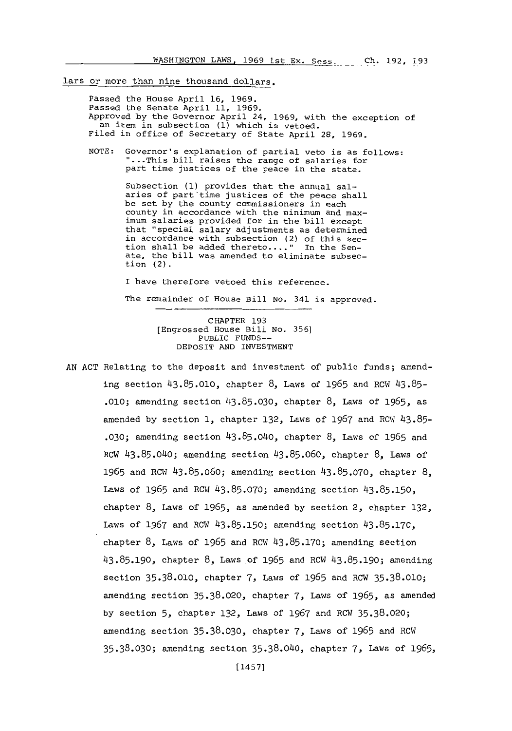#### lars or more than nine thousand dollars.

Passed the House April **16, 1969.** Passed the Senate April **11, 1969.** Approved **by** the Governor April 24, **1969,** with the exception of an item in subsection **(1)** which is vetoed. Filed in office of Secretary of State April **28, 1969.**

**NOTE:** Governor's explanation of partial veto is as follows: "...This bill raises the range of salaries for part time justices of the peace in the state.

> Subsection **(1)** provides that the annual salaries of part time justices of the peace shall be set **by** the county commissioners in each county in accordance with the minimum and maximum salaries provided for in the bill except that "special salary adjustments as determined in accordance with subsection (2) of this section shall be added thereto...." In the Senate, the bill was amended to eliminate subsection (2).

I have therefore vetoed this reference. The remainder of House Bill No. 341 is approved.

> CHAPTER **193** [Engrossed House Bill No. **356]** PUBLIC **FUNDS-**DEPOSIT **AND** INVESTMENT

**AN ACT** Relating to the deposit and investment of public funds; amending section **43.85.010,** chapter **8,** Laws of **1965** and ROW **43.85- .010;** amending section **43.85.030,** chapter **8,** Laws of **1965,** as amended **by** section **1,** chapter **132,** Laws of **1967** and ROW4 **43.85- .030;** amending section 43.85.040, chapter **8.** Laws of **1965** and ROW 43.85.040; amending section **43.85.060,** chapter **8,** Laws of **<sup>1965</sup>**and ROW **43.85.060;** amending section **43.85.070,** chapter **8.** Laws of **1965** and ROW **43.85.070;** amending section **43.85.150,** chapter **8,** Laws of *1965,* as amended **by** section 2, chapter **132,** Laws of **1967** and ROW **43.85.150;** amending section **43.85.170,** chapter **8,** Laws of **1965** and ROW **43.85.170;** amending section **43.85.190,** chapter **8,** Laws of **1965** and ROW **43.85.190;** amending section **35.38.010,** chapter **7,** Laws of **1965** and ROW **35.38.010;** amending section **35.38.020,** chapter **7,** Laws of **1965,** as amended **by** section **5,** chapter **132,** Laws of **1967** and ROW **35.38.020;** amending section **35.38.030,** chapter **7,** Laws of **1965** and ROW **35.38.030;** amending section **35.38.040,** chapter **7,** Laws of **1965,**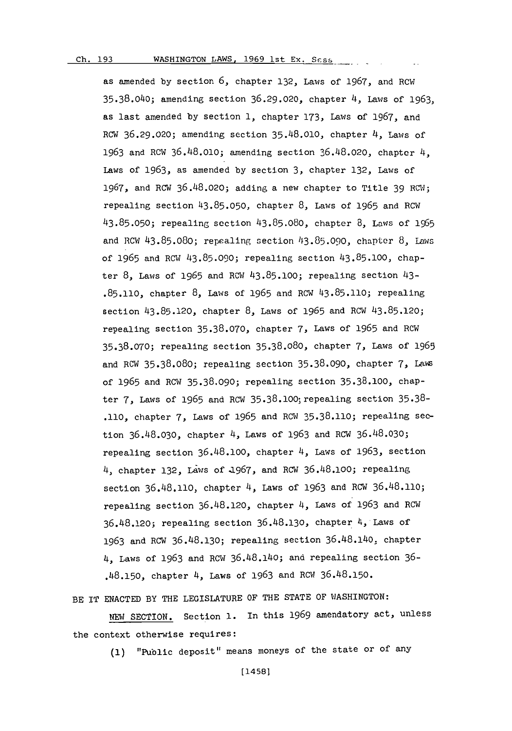**Ch. 193**

#### Ch. 193WASHINGTON LAWS, **1969** 1st **Ex. Scss**

as amended **by** section **6,** chapter **132,** Laws of **1967,** and ROW **35.38.040;** amending section **36.29.020,** chapter 4, Laws of **1963,** as last amended **by** section **1,** chapter **173,** Laws of **1967,** and ROW **36.29.020;** amending section **35.48.010,** chapter 4, Laws of **1963** and ROW **36.48.010;** amending section **36.48.020,** chapter 4, Laws of 1963, as amended by section 3, chapter 132, Laws of **1967,** and ROW **36.48.020;** adding a new chapter to Title **39** ROWe; repealing section **43.85.050,** chapter **8,** Laws of **1965** and ROW1 **43.85.050;** repealing section **43.85.080,** chapter **8,** Laws **of 1965** and Rmi **43.85.080;** repealing section **43.85.090,** chaptcr **8,** Laws of **1965** and ROW 43.85.090; repealing section **43.85.100,** chapter **8,** Laws of **1965** and ROW **43.85.100;** repealing section 43- **.85.110,** chapter **8,** Laws of **1965** and ROW **43.85.110;** repealing section **43.85.120,** chapter **8,** Laws of **1965** and ROW **43.85.120;** repealing section **35.38.070,** chapter **7,** Laws of **1965** and ROW **35.38.070;** repealing section **35.38.080,** chapter **7,** Laws of **1965** and ROW **35.38.080;** repealing section **35.38.090,** chapter **7,** Lavi of **1965** and ROW **35.38.090;** repealing section **35.38.100,** chapter **7,** Laws of **1965** and ROW 35.38.100; repealing section **35.38- .110,** chapter **7,** Laws of **1965** and ROW **35.38.110;** repealing section **36.48.030,** chapter 4, Laws of **1963** and ROW **36.48.030;** repealing section **36.48.100,** chapter 4, Laws of **1963,** section 4, chapter **132,** Laws of a1967, and ROW **36.48.100;** repealing section **36.48.110,** chapter 4, Laws of **1963** and ROW 36.48.110; repealing section 36.48.120, chapter 4, Laws of 1963 and RCW **36.48.120;** repealing section **36.48.130,** chapter 4, Laws of **1963** and ROW **36.48.130;** repealing section 36.48.14o, chapter 4, Laws of **1963** and ROW 36.48.140; and repealing section **36- .48.150,** chapter 4, Laws of **1963** and ROW1 **36.48.150.**

BE IT **ENACTED** BY THE LEGISLATURE OF THE **STATE** OF WASHINGTON:

**NEW** SECTION. Section **1.** In this **1969** amendatory act, unless the context otherwise requires:

**(1)** "Puiblic deposit" means moneys of the state or of any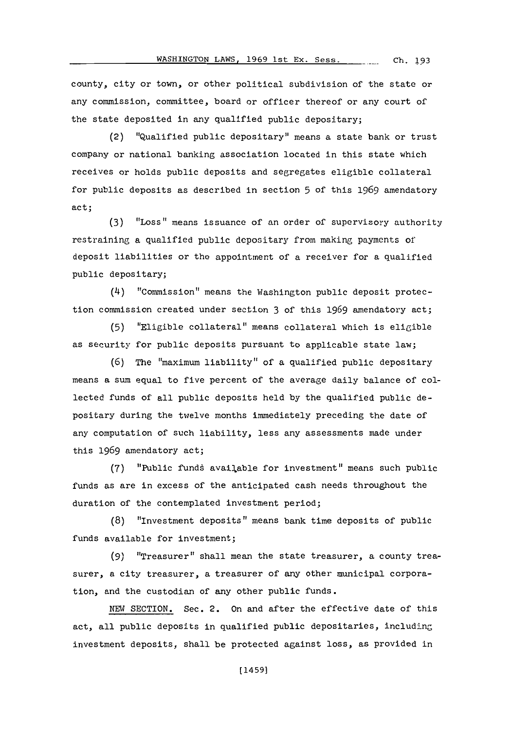county, city or town, or other political subdivision of' the state or any commission, committee, board or officer thereof or any court of the state deposited in any qualified public depositary;

(2) "Qualified public depositary" means a state bank or trust company or national banking association located in this state which receives or holds public deposits and segregates eligible collateral for public deposits as described in section **5** of' this **1969** amendatory act;

**(3)** "Loss" means issuance of' an order of' supervisory authority restraining a qualified public depositary from making payments of deposit liabilities or the appointment of a receiver for a qualified public depositary;

(4) "Commission" means the Washington public deposit protection commission created under section **3** of this **1969** amendatory act;

**(5)** "Eligible collateral" means collateral which is eliGible as security for public deposits pursuant to applicable state law;

**(6)** The "maximum liability" of a qualified public depositary means a sum equal to five percent of the average daily balance of collected funds of all public deposits held **by** the qualified public depositary during the twelve months immediately preceding the date of any computation of such liability, less any assessments made under this **1969** amendatory act;

(7) "Public funds available for investment" means such public funds as are in excess of the anticipated cash needs throughout the duration of the contemplated investment period;

**(8)** "Investment deposits" means bank time deposits of public funds available for investment;

**(9)** "Treasurer" shall mean the state treasurer, a county treasurer, a city treasurer, a treasurer of any other municipal corporation, and the custodian of any other public funds.

NEW SECTION. Sec. 2. On and after the effective date of this act, all public deposits in qualified public depositaries, includinginvestment deposits, shall be protected against loss, as provided in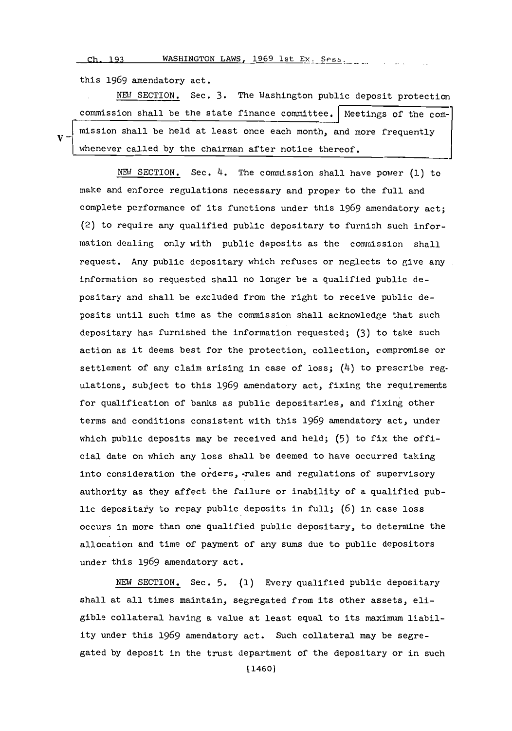**Ch- 193** WASHINGTON LAWS, **1969** 1st Ex. Sess.\_

this **1969** amendatory act.

 $\mathbf{v}$ .

NEW SECTION. Sec. 3. The Washington public deposit protection commission shall be the state finance committee. Neetings of the commission shall be held at least once each month, and more frequently whenever called by the chairman after notice thereof.

**NEU** SECTION. Sec. 4. The commission shall have power **(1)** to make and enforce regulations necessary and proper to the full and complete pcrformance of its functions under this **1969** amendatory act; (2) to require any qualified public depositary to furnish such information dealing only with public deposits as the commission shall request. Any public depositary which refuses or neglects to give any information so requested shall no longer be a qualified public depositary and shall be excluded from the right to receive public deposits until such time as the commission shall acknowledge that such depositary has furnished the information requested; **(3)** to take such action as it deems best for the protection, collection, compromise or settlement of any claim arising in case of loss;  $(4)$  to prescribe regulations, subject to this **1969** amendatory act, fixing the requirements for qualification of banks as public depositaries, and fixing other terms and conditions consistent with this **1969** amendatory act, under which public deposits may be received and held; **(5)** to fix the official date on which any loss shall be deemed to have occurred taking into consideration the orders, -rules and regulations of supervisory authority as they affect the failure or inability of a qualified public depositary to repay public deposits in full; (6) in case loss occurs in more than one qualified public depositary, to determine the allocation and time of payment of any sums due to public depositors under this **1969** amendatory act.

NEW SECTION. Sec. 5. (1) Every qualified public depositary shall at all times maintain, segregated from its other assets, eligible collateral having a value at least equal to its maximum liability under this **1969** amendatory act. Such collateral may be segregated **by** deposit in the trust department of the depositary or in such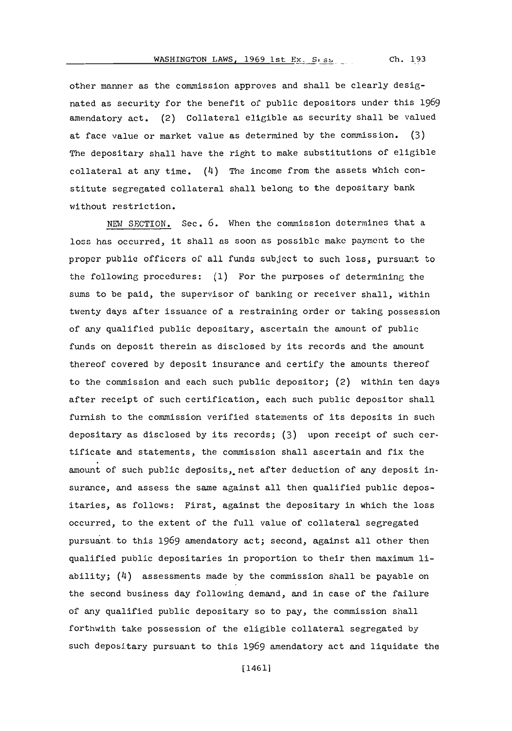other manner as the commission approves and shall be clearly designated as security for the benefit of public depositors under this **1969** amendatory act. (2) Collateral eligible as security shall be valued at face value or market value as determined **by** the commission. **(3)** The depositary shall have the right to make substitutions of eligible collateral at any time.  $(4)$  The income from the assets which constitute segregated collateral shall belong to the depositary bank without restriction.

NEW SECTION. Sec. **6.** When the commission determines that a loss has occurred, it shall as soon as possible make payment to the proper public officers of all funds subject to such loss, pursuant to the following procedures: **(1)** For the purposes of determining the sums to be paid, the supervisor of banking or receiver shall, within twenty days after issuance of a restraining order or taking possession of any qualified public depositary, ascertain the amount of public funds on deposit therein as disclosed **by** its records and the amount thereof covered **by** deposit insurance and certify the amounts thereof to the commission and each such public depositor; (2) within ten days after receipt of such certification, each such public depositor shall furnish to the commission verified statements of its deposits in such depositary as disclosed **by** its records; **(3)** upon receipt of such certificate and statements, the commission shall ascertain and fix the amount of such public deposits, net after deduction of any deposit insurance, and assess the same against all then qualified public depositaries, as follows: First, against the depositary in which the loss occurred, to the extent of the full value of collateral segregated pursuant-to this **1969** amendatory act; second, against all other then qualified public depositaries in proportion to their then maximum liability; (4) assessments made **by** the commission shall be payable on the second business day following demand, and in case of the failure of any qualified public depositary so to pay, the commission shall forthwith take possession of the eligible collateral segregated **by** such depositary pursuant to this **1969** amendatory act and liquidate the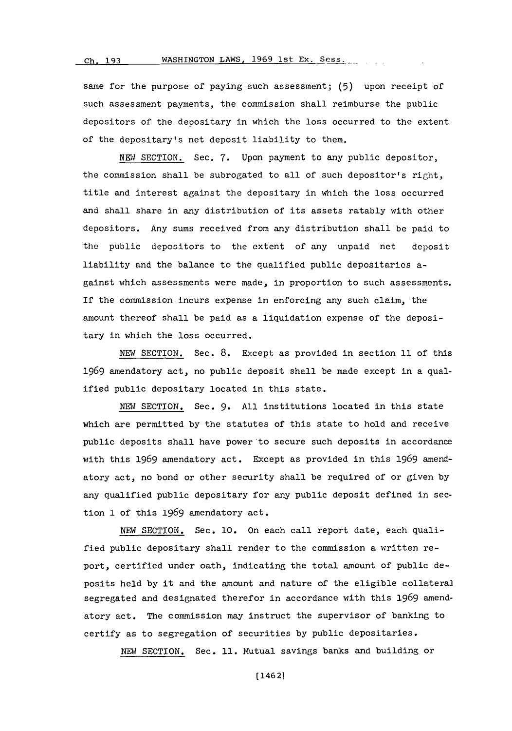### **(ch. 193** WASHINGTON LAWS, 1969 1st Ex. Sess...

same for the purpose of paying such assessment; **(5)** upon receipt of such assessment payments, the commission shall reimburse the public depositors of the deoositary in which the loss occurred to the extent of the depositary's net deposit liability to them.

**NEW1** SECTION. Sec. **7.** Upon payment to any public depositor, the commission shall be subrogated to all of such depositor's  $\operatorname{ri} \beta$ t, title and interest against the depositary in which the loss occurred and shall share in any distribution of its assets ratably with other depositors. Any suns received from any distribution shall be paid to the public depositors to the extent of any unpaid net deposit liability and the balance to the qualified public depositaries against which assessments were made, in proportion to such assessments. If the commission incurs expense in enforcing any such claim, the amount thereof shall be paid as a liquidation expense of the depositary in which the loss occurred.

**NEW SECTION.** Sec. **8.** Except as provided in section **11** of this **1969** amendatory act, no public deposit shall be made except in a qualified public depositary located in this state.

**NEW SECTION.** Sec. **9. All** institutions located in this state which are permitted **by** the statutes of this state to hold and receive public deposits shall have power'to secure such deposits in accordance with this **1969** amendatory act. Except as provided in this **1969** amendatory act, no bond or other security shall be required of or given **by** any qualified public depositary for any public deposit defined in section **1** of this **1969** amendatory act.

**NEW SECTION.** Sec. **10.** On each call report date, each qualified public depositary shall render to the commission a written report, certified under oath, indicating the total amount of public deposits held by it and the amount and nature of the eligible collateral segregated and designated therefor in accordance with this **1969** amendatory act. The commission may instruct the supervisor of banking to certify as to segregation of securities **by** public depositaries.

**NEW** SECTION. Sec. **11.** Mutual savings banks and building or

[14621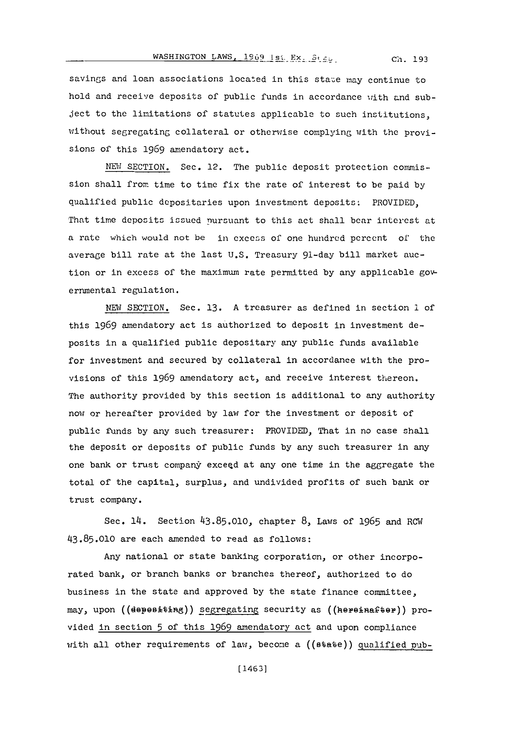### WASHINGTON LAWS, **1969** Is', Ex. St . **Ch. 193**

savings and loan associations located in this staze nay continue to hold and receive deposits of public funds in accordance with and subject to the limitations of statutes applicable to such institutions, without segregating collateral or otherwise complying with the provisions of this 1969 amendatory act.

NEM SECTION. Sec. 12. The public deposit protection commission shall from time to time fix the rate of interest to be paid **by** qualified public depositaries upon investment deposits,. PROVIDED, That time deposits issued nursuant to this act shall bear interest at a rate which would not be in excess of one hundred percent of the average bill rate at the last **U.S.** Treasury 91-day bill market auction or in excess of the maximum rate permitted by any applicable governmental regulation.

**NEW** SECTION. Sec. **13. A** treasurer as defined in section **1 of** this **1969** amendatory act is authorized to deposit in investment deposits in a qualified public depositary any public funds available for investment and secured **by** collateral in accordance with the provisions of this **1969** amendatory act, and receive interest thereon. The authority provided **by** this section is additional to any authority now or hereafter provided **by** law for the investment or deposit of public funds **by** any such treasurer: PROVIDED, That in no ease shall the deposit or deposits of public funds **by** any such treasurer in any one bank or trust company exceed at any one time in the aggregate the total of the capital, surplus, and undivided profits of such bank or trust company.

Sec. 14. Section 43.85.010, chapter 8, Laws of 1965 and RCW **43.85.010** are each amended to read as follows:

Any national or state banking corporation, or other incorporated bank, or branch banks or branches thereof, authorized to do business in the state and approved **by** the state finance committee, may, upon ((depesiting)) segregating security as ((hereinafter)) provided in section **5** of this **1969** amendatory act and upon compliance with all other requirements of law, become a ((state)) qualified **pub-**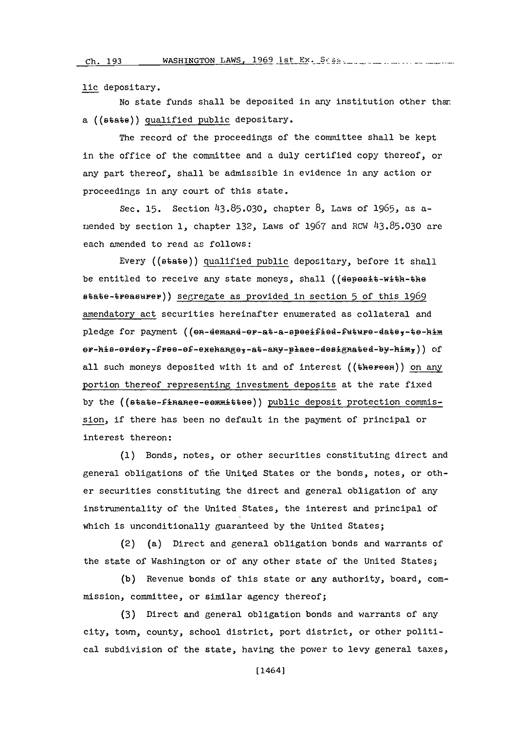**Ch. 193**

lic depositary.

No state funds shall be deposited in any institution other than a ((state)) qualified public depositary.

The record of the proceedings of the committee shall be kept in the office of the committee and a duly certified copy thereof, or any part thereof, shall be admissible in evidence in any action or proceedings in any court of this state.

Sec. **15.** Section **143.85.030,** chapter **8,** Laws of *1965.,* as armended **by** section **1,** chapter **132,** Laws of **1967** and RCW **413.85.030** are each amended to read as follows:

Every ((state)) qualified public depositary, before it shall be entitled to receive any state moneys, shall (( $d$ epesit-with-the state-tpeasubiep)) segregate as provided in section **5** of this **1969** amendatory act securities hereinafter enumerated as collateral and pledge for payment ((en-demand-er-at-a-speeified-future-date,-te-him er-his-erder,-free-ef-exehange,-at-any-place-designated-by-him,)) of all such moneys deposited with it and of interest (( $\mathbf{t}$ hereen)) on any portion thereof representing investment deposits at the rate fixed by the ((state-finanee-eemmittee)) public deposit protection commission, if there has been no default in the payment of principal or interest thereon:

**(1)** Bonds, notes, or other securities constituting direct and general obligations of tfie United States or the bonds, notes, or other securities constituting the direct and general obligation of any instrumentality of the United States, the interest and principal of which is unconditionally guaranteed **by** the United States;

(2) (a) Direct and general obligation bonds and warrants of the state of Washington or of any other state of the United States;

**(b)** Revenue bonds of this state or any authority, board, commission, committee, or similar agency thereof;

**(3)** Direct and general obligation bonds and warrants of any city, town, county, school district, port district, or other political subdivision of the state, having the power to levy general taxes,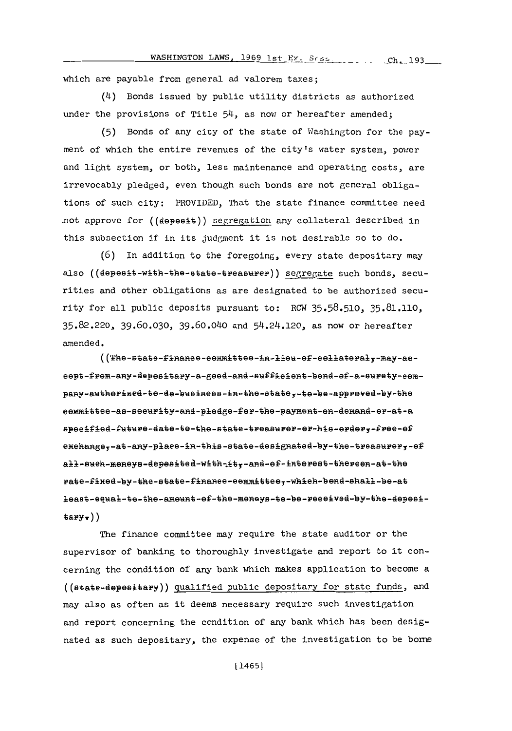which are payable from general ad valorem taxes;

(4) Bonds issued by public utility districts as authorized under the provisions of Title 54, as now or hereafter amended;

(5) Bonds of any city of the state of Washington for the payment of which the entire revenues of the city's water system, power and light system, or both, less maintenance and operating costs, are irrevocably pledged, even though such bonds are not general obligations of such city: PROVIDED, That the state finance committee need not approve for ((depesit)) segregation any collateral described in this subsection if in its judgment it is not desirable so to do.

 $(6)$  In addition to the foregoing, every state depositary may also ((depesit-with-the-state-treasurer)) segregate such bonds, securities and other obligations as are designated to be authorized security for all public deposits pursuant to: RCW 35.58.510, 35.81.110, 35.82.220, 39.60.030, 39.60.040 and 54.24.120, as now or hereafter amended.

((The-state-finanee-eemmittee-in-lieu-ef-eellateral,-may-aeeept-frem-any-depesitary-a-geed-and-sufficient-bend-ef-a-surety-eempany-authorised-to-do-business-in-the-state;-to-be-appreved-by-the eemmittee-as-seeurity-and-pledge-fer-the-payment-en-demand-er-at-a speeified-future-date-te-the-state-treasurer-er-his-erdery-free-ef exchange,-at-any-place-in-this-state-designated-by-the-treasurer,-ef all-such-mencys-depesited-with-ity-and-ef-interest-thereen-at-the rate-fixed-by-the-state-finance-committee,-which-bend-shall-be-at least-equal-te-the-ameunt-ef-the-meneys-te-be-received-by-the-depesi $tary$ ,))

The finance committee may require the state auditor or the supervisor of banking to thoroughly investigate and report to it concerning the condition of any bank which makes application to become a ((state-depesitary)) qualified public depositary for state funds, and may also as often as it deems necessary require such investigation and report concerning the condition of any bank which has been designated as such depositary, the expense of the investigation to be bome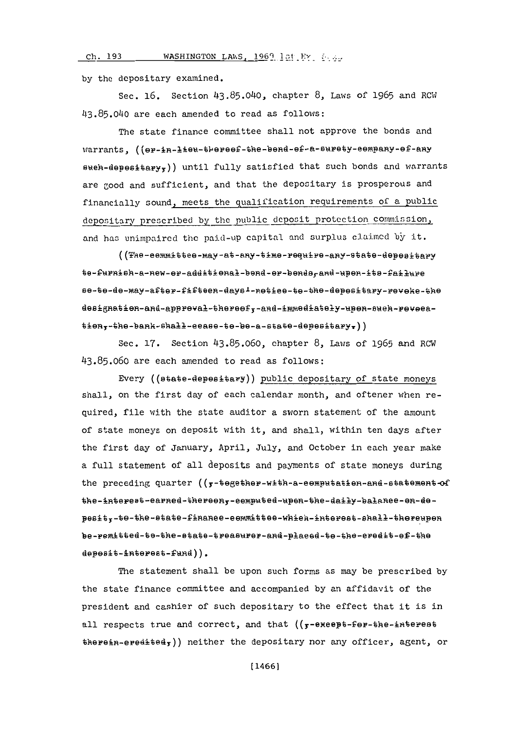#### **ch. 193 WASHINGTON LAWS, 1969 1st FY**

**by** the depositary examined.

Sec. **16.** Section 43.85.040, chapter **8,** Laws of **1965** and RCW **113.85.040** are each amended to read as follows:

The state finance committee shall not approve the bonds and warrants, ((er-in-lieu-thereef-the-bend-ef-a-surety-eempany-ef-any  $s$ weh-depesitary<sub>y</sub>)) until fully satisfied that such bonds and warrants are good and sufficient, and that the depositary is prosperous and financially sound, meets the qualification requirements of a public depositary prescribed by the public deposit protection commission, and has unimpaired the paid-up capital and surplus claimed by it.

((The-eemmittee-may-at-any-time-require-any-state-depesitary te-furnish-a-new-er-additional-bend-er-bends, and-upen-its-failure se-te-de-may-after-fifteen-days1-netice-te-the-depesitary-reveke-the designatien-and-appreval-thereef,-and-immediately-upen-such-revecation,-the-bank-shall-eease-te-be-a-state-depesitary,))

Sec. **17.** Section **43.85.060,** chapter **8,** Laws of **1965** and RCW **43.85.060** are each amended to read as follows:

Every  $((\texttt{state-depesi+ary}))$  public depositary of state moneys shall, on the first day of each calendar month, and oftener when required, file with the state auditor a sworn statement of the amount of state moneys on deposit with it, and shall, within ten days after the first day of January, April, July, and October in each year make a full statement of all deposits and payments of state moneys during the preceding quarter  $((f-b)$  +  $f-b)$  =  $h-b$  +  $a-b$  +  $b$  +  $b$  +  $b$  +  $b$  +  $b$  +  $b$  +  $b$  +  $b$  +  $b$  +  $b$  +  $b$  +  $b$  +  $b$  +  $b$  +  $b$  +  $b$  +  $b$  +  $b$  +  $b$  +  $b$  +  $b$  +  $b$  +  $b$  +  $b$  +  $b$  +  $b$  +  $b$  +  $b$  + the-interest-earned-thereen,-eemputed-upen-the-daily-balanee-en-deposit,-to-the-state-finance-eemmittee-which-interest-shall-thereupen be-remitted-to-the-state-treasurer-and-placed-to-the-eredit-ef-the  $\texttt{depest\text{-}interest\text{-}fund}$ )).

The statement shall be upon such forms as may be prescribed **by** the state finance committee and accompanied **by** an affidavit of the president and cashier of such depositary to the effect that it is in all respects true and correct, and that  $((\tau-e^{\frac{1}{2}}-e^{\frac{1}{2}}e^{\frac{1}{2}}-e^{\frac{1}{2}}e^{\frac{1}{2}}-e^{\frac{1}{2}}e^{\frac{1}{2}}-e^{\frac{1}{2}}e^{\frac{1}{2}})$  $therefore$ ,  $e^{i\theta}$  is  $i\theta$  and  $i\theta$  are the depositary nor any officer, agent, or

[1466]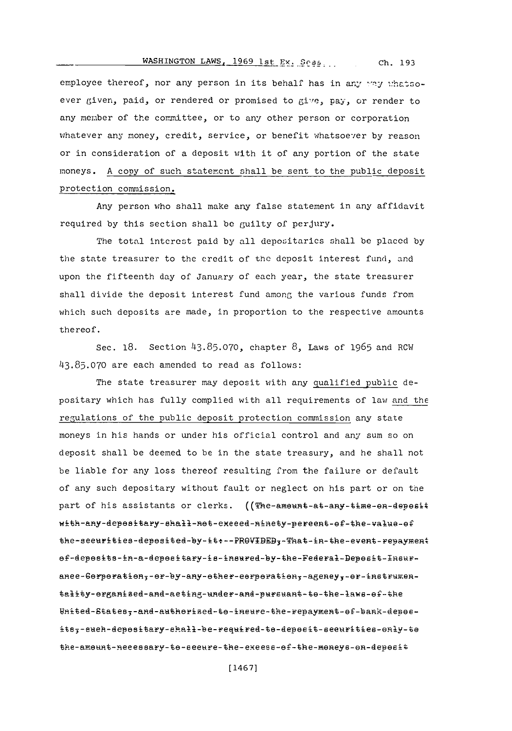WASHINGTON LAWS, 1969 1st Ex. Sess... Ch. 193

employee thereof, nor any person in its behalf has in any way whatsoever given, paid, or rendered or promised to give, pay, or render to any member of the committee, or to any other person or corporation whatever any money, credit, service, or benefit whatsoever by reason or in consideration of a deposit with it of any portion of the state moneys. A copy of such statement shall be sent to the public deposit protection commission.

Any person who shall make any false statement in any affidavit required by this section shall be guilty of perjury.

The total interest paid by all depositaries shall be placed by the state treasurer to the credit of the deposit interest fund, and upon the fifteenth day of January of each year, the state treasurer shall divide the deposit interest fund among the various funds from which such deposits are made, in proportion to the respective amounts thereof.

Sec. 18. Section 43.85.070, chapter 8, Laws of 1965 and RCW 43.85.070 are each amended to read as follows:

The state treasurer may deposit with any qualified public depositary which has fully complied with all requirements of law and the regulations of the public deposit protection commission any state moneys in his hands or under his official control and any sum so on deposit shall be deemed to be in the state treasury, and he shall not be liable for any loss thereof resulting from the failure or default of any such depositary without fault or neglect on his part or on the part of his assistants or clerks. ((The-ameunt-at-any-time-en-depesit with-any-depositary-shall-not-execed-ninety-percent-of-the-value-of the-seeurities-deposited-by-it:--PROVIDED3-That-in-the-event-repayment ef-deposits-in-a-depositary-is-insured-by-the-Federal-Deposit-Insuranee-Gorperation,-or-by-any-other-corperation,-ageney,-or-instrumentality-organized-and-aeting-under-and-pursuant-to-the-laws-of-the United-States,-and-authorised-to-ineure-the-repayment-of-bank-depoeits;-euch-depositary-ehall-be-required-to-deposit-seeurities-only-to the-amount-necessary-to-seeure-the-exeess-of-the-moneys-on-deposit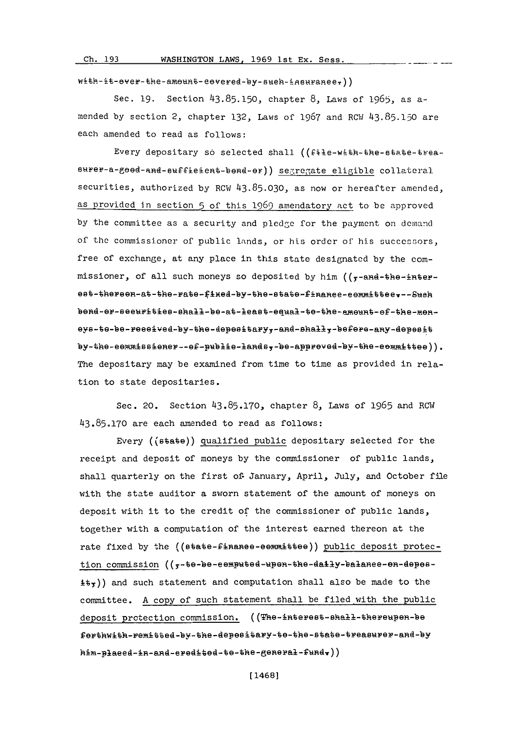**Ch. 193** WASHINGTON LAWS, **1969** 1st Ex. Sess.

with-it-ever-the-ameunt-eevered-by-sueh-insuraneer))

Sec. **19.** Section **43.85.150,** chapter **8,** Laws of **1965,** as amended **by** section 2, chapter **132,** Laws of **1967** and RCW **43.85.150** are each amended to read as follows:

Every depositary so selected shall ((file-with-the-state-treasurer-a-good-and-euffieient-bond-or)) segregate eligible collateral securities, authorized **by** RCW **43.85.030,** as now or hereafter amended, as provided In section **5** of this **1969** amendatory act to **be** approved by the committee as a security and pledge for the payment on demand of the commissioner of public lands, or his order of' his successors, free of exchange, at any place in this state designated **by** the commissioner, of all such moneys so deposited by him ((r-and-the-interest-thereen-at-the-rate-fixed-by-the-state-finance-committeer--Such bend-er-seeurities-shall-be-at-least-equal-te-the-amount-of-the-meneys-te-be-reeeived-by-the-depesitary,-and-shall,-befere-any-depesit by-the-eemmissiener--ef-publie-lands,-be-appreved-by-the-eemmittee)). The depositary may be examined from time to time as provided in relation to state depositaries.

Sec. 20. Section **43.85.170,** chapter **8,** Laws of **1965** and ROW **43.85.170** are each amended to read as follows:

Every ((state)) qualified public depositary selected for the receipt and deposit of moneys **by** the commissioner of public lands, shall quarterly on the first of- January, April, July, and October file with the state auditor a sworn statement of the amount of moneys on deposit with it to the credit of the commissioner of public lands, together with a computation of the interest earned thereon at the rate fixed by the ((state-finanee-eemmittee)) public deposit protection commission (( $\tau$ -te-be-eemputed-upen-the-daily-balance-on-depes- $\pm\epsilon$ )) and such statement and computation shall also be made to the committee. **A** copy of such statement shall be filed with the public deposit protection commission. ((The-interest-shall-thereupen-be forthwith-remitted-by-the-depositary-to-the-state-treasurer-and-by him-plaeed-in-and-eredited-te-the-general-fund.))

**[** 14681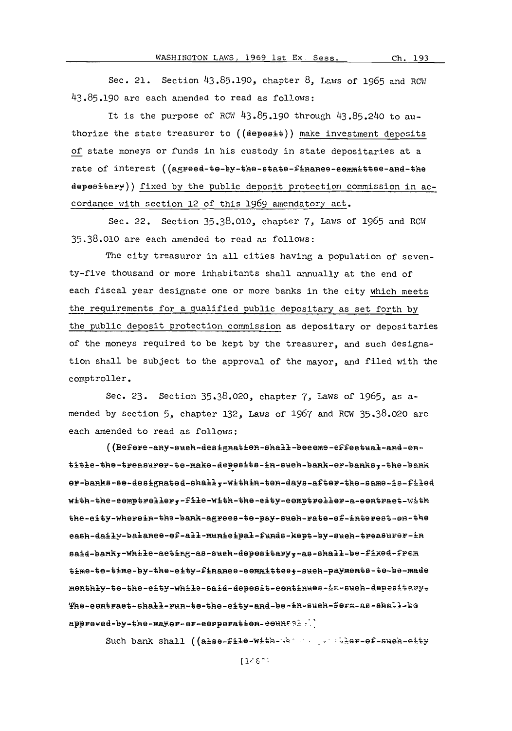**WASHINGTON LAWS, 1969 1st Ex Sess. Ch. 193** 

Sec. 21. Section **43.85.190,** chapter **8,** Laws of **1965** and RCll **43.85.190** are each amended to read as follows:

It is the purpose of Rcw **43.85.190** through 43.85.2140 to authorize the state treasurer to  $((\text{deep} \Theta)$  make investment deposits of state moneys or funds in his custody in state depositaries at a rate of interest ((agreed-te-by-the-state-finance-committee-and-the 4eP89A~aFY)) fixed **by** the public deposit protection commission in accordance with section 12 of this **1969** amendatory act.

Sec. 22. Section **35.38.010,** chapter **7,** Law-s of **1965** and ROW **35.38.010** are each amended to read as follows:

The city treasurer in all cities having a population of seventy-five thousand or more inhabitants shall annually at the end of each fiscal year designate one or more banks in the city which meets the requirements for a qualified public depositary as set forth **by** the public deposit protection commission as depositary or depositaries of the moneys required to be kept **by** the treasurer, and such designation shall be subject to the approval of the mayor, and filed with the comptroller.

Sec. **23.** Section **35.38.020,** chapter **7,** Laws of **1965,** as amended **by** section **5,** chapter **132,** Law-s of **1967** and ROW **35.38.020** are each amended to read as follows:

((Befere-any-such-designation-shall-become-effectual-and-entitle-the-treasurer-te-make-depesits-in-such-bank-er-banks,-the-bank er-banks-se-designated-shall,-within-ten-days-after-the-same-is-filed with-the-eemptreller,-file-with-the-eity-eemptreller-a-eentract-with the-city-wherein-the-bank-agrees-te-pay-sueh-rate-ef-interest-en-the eash-daily-balanee-ef-all-munieipal-funds-kept-by-sueh-treasurer-in said-banky-while-aeting-as-such-depesitaryy-as-shall-be-fixed-frem time-te-time-by-the-eity-finanee-eemmittee;-such-payments-te-be-made monthly-te-the-eity-while-said-depesit-eentinues-in-such-depesitery-The-eentract-shall-run-te-the-eity-and-be-in-sueh-ferm-as-shall-be appreved-by-the-mayer-er-eerperation-eeuncal;)

Such bank shall ((also-file-with-we we also -of-such-elty

 $116^\circ$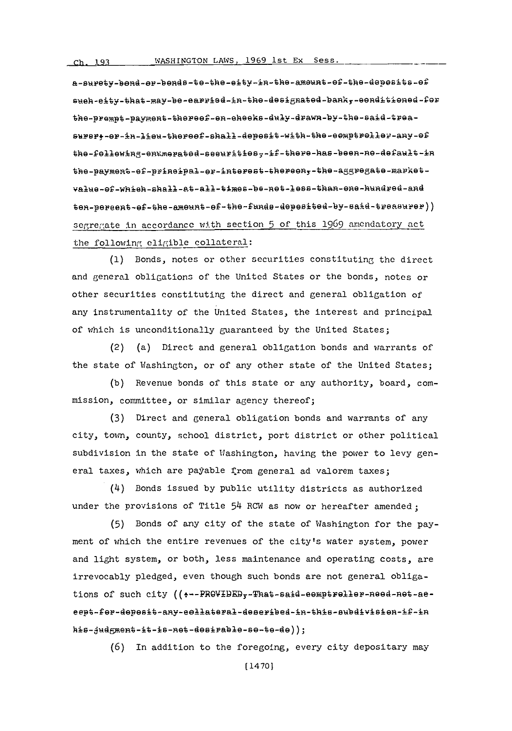a-surety-bend-er-bends-te-the-eity-in-the-ameunt-ef-the-depesits-ef sueh-eity-that-may-be-earried-in-the-designated-bank,-eenditiened-fer the-prempt-payment-thereef-en-eheeks-duly-drawn-by-the-said-treasurer,-or-in-lieu-thereef-shall-depesit-with-the-eemptreller-any-ef the-following-enumerated-seeuritiesy-if-there-has-been-ne-default-in the-payment-ef-principal-er-interest-thereen,-the-aggregate-marketvalue-of-which-shall-at-all-times-be-net-less-than-one-hundred-and ten-percent-of-the-ameunt-of-the-funds-depesited-by-said-treasurer)) segregate in accordance with section 5 of this 1969 amendatory act the following eligible collateral:

(1) Bonds, notes or other securities constituting the direct and general obligations of the United States or the bonds, notes or other securities constituting the direct and general obligation of any instrumentality of the United States, the interest and principal of which is unconditionally guaranteed by the United States;

(2) (a) Direct and general obligation bonds and warrants of the state of Washington, or of any other state of the United States;

(b) Revenue bonds of this state or any authority, board, commission, committee, or similar agency thereof;

(3) Direct and general obligation bonds and warrants of any city, town, county, school district, port district or other political subdivision in the state of Washington, having the power to levy general taxes, which are payable from general ad valorem taxes;

(4) Bonds issued by public utility districts as authorized under the provisions of Title 54 RCW as now or hereafter amended;

(5) Bonds of any city of the state of Washington for the payment of which the entire revenues of the city's water system, power and light system, or both, less maintenance and operating costs, are irrevocably pledged, even though such bonds are not general obligations of such city (( --- PROVIDED, - That-said-eemptreller-need-net-aeeept-fer-depesit-any-eellateral-deseribed-in-this-subdivision-if-in his-judgment-it-is-net-desirable-se-te-de));

(6) In addition to the foregoing, every city depositary may

 $[1470]$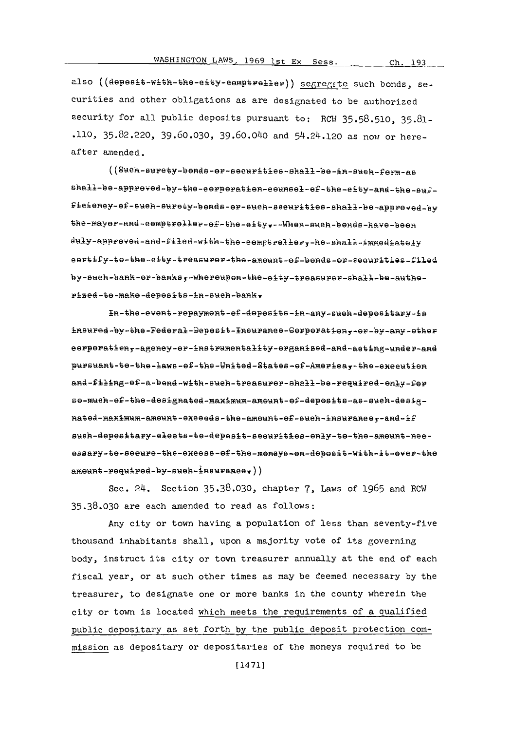Ch. 193

also ((depesit-with-the-eity-eemptreller)) segregate such bonds, securities and other obligations as are designated to be authorized security for all public deposits pursuant to: RCW 35.58.510, 35.81-.110, 35.82.220, 39.60.030, 39.60.040 and 54.24.120 as now or hereafter amended.

((Such-surety-bonds-or-securities-shall-be-in-such-form-as shall-be-appreved-by-the-eerperation-eeunsel-ef-the-eity-and-the-suffieieney-ef-sueh-surety-bends-er-such-seeurities-shall-be-appreved-by the-mayer-and-cemptreller-ef-the-eity.--When-such-bends-have-been duly-approved-and-filed-with-the-eemptreller,-he-shall-immediately eertify-te-the-eity-treasurer-the-amount-ef-bends-er-seeurities-filed by-such-bank-or-banks,-whereupon-the-eity-treasurer-shall-be-authorized-to-make-depesits-in-such-bank.

In-the-event-repayment-ef-depesits-in-any-sueh-depesitary-is insured-by-the-Federal-Depesit-Insurance-Corporation,-or-by-any-other eerperatien,-ageney-er-instrumentality-erganised-and-aeting-under-and pursuant-te-the-laws-ef-the-United-States-of-Americay-the-exceution and-filing-ef-a-bend-with-such-treasurer-shall-be-required-enly-fer se-mueh-ef-the-designated-maximum-amount-ef-depesite-as-such-designated-maximum-ameunt-exceeds-the-ameunt-ef-such-insurance,-and-if sueh-depesitary-elects-te-depesit-seeurities-enly-te-the-amount-neeessary-te-seeure-the-exeess-ef-the-meneys-en-deposit-with-it-ever-the  $amount-regularized-by-sueh-ineurene),$ 

Sec. 24. Section 35.38.030, chapter 7, Laws of 1965 and RCW 35.38.030 are each amended to read as follows:

Any city or town having a population of less than seventy-five thousand inhabitants shall, upon a majority vote of its governing body, instruct its city or town treasurer annually at the end of each fiscal year, or at such other times as may be deemed necessary by the treasurer, to designate one or more banks in the county wherein the city or town is located which meets the requirements of a qualified public depositary as set forth by the public deposit protection commission as depositary or depositaries of the moneys required to be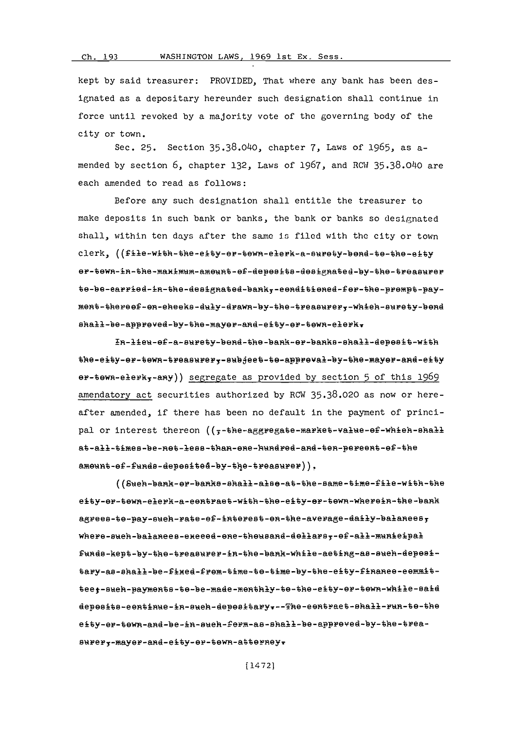#### Ch.

## **Ch. 193** WASHINGTON LAWS, 1969 1st Ex. Sess.

kept **by** said treasurer: PROVIDED, That where any bank has been designated as a depositary hereunder such designation shall continue in force until revoked **by** a majority vote of the governing body of the city or town.

Sec. **25.** Section **35.38.040,** chapter **7,** Laws of **1965,** as amended **by** section **6,** chapter **132,** Laws of **1967,** and RCW **35.38.040** are each amended to read as follows:

Before any such designation shall entitle the treasurer to make deposits in such bank or banks, the bank or banks so designated shall, within ten days after the same is filed with the city or town clerk, ((file-wth-the-eity-er-tewn-elerk-a-surety-bend-te-the-eity er-tewn-in-the-maximum-ameunt-ef-depesits-designated-by-the-treasurer te-be-earried-in-the-designated-bank,-eenditiened-fer-the-prempt-payment-theree-en-eheeke -duly-drawn-by-the-treastery-whieh-wpety-bend shall-be-appreved-by-the-mayer-and-eity-er-tewn-elerk.

ln-lie-eC-a-wu'ety-bend-the-bank-ep-bank-e-hall-depesit-with the-eity-er-tewn-treasurer,-subject-te-appreval-by-the-mayer-and-eity er-tewn-elerky-any)) segregate as provided by section 5 of this 1969 amendatory act securities authorized by RCW 35.38.020 as now or hereafter amended, if there has been no default in the payment of principal or interest thereon  $((\frac{1}{5} - \frac{1}{5})$  and  $\frac{1}{5}$  and  $\frac{1}{5}$  and  $\frac{1}{5}$  and  $\frac{1}{5}$  and  $\frac{1}{5}$  and  $\frac{1}{5}$  and  $\frac{1}{5}$  and  $\frac{1}{5}$  and  $\frac{1}{5}$  and  $\frac{1}{5}$  and  $\frac{1}{5}$  and  $\frac{1}{5}$  and  $\frac{1}{$ at-all-times-be-Ret-les-than-ene-hundred-and-te-pereent-ef-the ameunt-ef-funds-depesited-by-the-treasurer)).

((Suh-bah-er-bas-shali-aise-at-the-same-time-fie-with-the eity-er-tewn-elerk-a-eentraet -with-the-eity-er-tewn-wherein-the -bank agrees-te-pay-sueh-rate -es-intereat -en-the-average-daily-balaneesy where-sek-balaneees-exeeed-eae-theusand-dellass-ef-all-mwnieipal Ifinds-kept -by-the-treasurer-in-the -bank-while-aeting-ase-sueh-depesitary-as-shall-be-fied-frem-time-te-time-by-the-eity-finaee-eemmitteet-sueh-paymente-te-be-made-methly-te-the-eity-er-tewn-while-said depesite-eentinae-in-sueh-deesitarytr--The-eentraet-shall-ran-te-the eity-er-ewn-and-be-mn-sueh-f'erm-ae-shall-be -appreved-by-the -treasurery-mayer-and-eity-er-tewn-atterneyr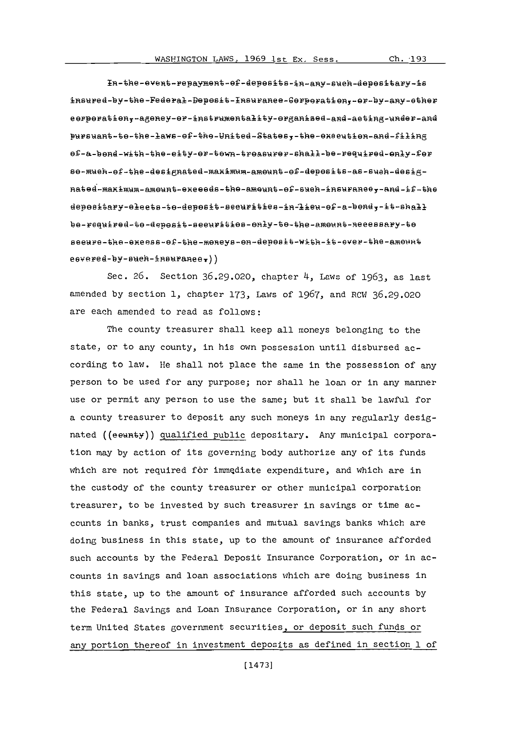In-the-event-repayment-ef-depesits-in-any-such-depesitary-is insured-by-the-Federal-Depesit-Insurance-Gerperation,-or-by-any-other  $\mathcal{L}_{\mathcal{L}_{\mathcal{L}_{\mathcal{L}}}(\mathcal{L}_{\mathcal{L}_{\mathcal{L}}}(\mathcal{L}_{\mathcal{L}_{\mathcal{L}}}(\mathcal{L}_{\mathcal{L}_{\mathcal{L}}}(\mathcal{L}_{\mathcal{L}_{\mathcal{L}}}(\mathcal{L}_{\mathcal{L}_{\mathcal{L}}}(\mathcal{L}_{\mathcal{L}_{\mathcal{L}}}(\mathcal{L}_{\mathcal{L}_{\mathcal{L}}},\mathcal{L}_{\mathcal{L}_{\mathcal{L}},\mathcal{L}_{\mathcal{L}},\mathcal{L}_{\mathcal{L}},\mathcal{L}_{\mathcal{L}},\mathcal{L}_{\mathcal{L}},\mathcal$  $R_{\rm eff}$  and  $R_{\rm eff}$  -mutrices added and  $\sigma$ ef-a-bond-with-the-eity-er-tewn-treasurer-shall-be-required-enly-fer se-mueh-of-the-designated-maximum-amount-of-deposits-as-sueh-desig-<br>nated-maximum-amount-exceeds-the-amount-of-sueh-insuranee,-and-if-the depositary-eleets-to-deposit-seeurities-in-lieu-of-a-bond,-it-shall be-reguired-to-deposit-seeurities-only-to-the-amount-necessary-to seeure-the-exeess-ef-the-meneys-en-depeatt-with-it-ever-the-amennt  $e$ overed-by-sueh-insuraneer))

Sec. **26.** Section **36.29.020,** chapter 4, Laws of **1963,** as last amended **by** section **1,** chapter **173,** Laws of **1967,** and RCW **36.29.020** are each amended to read as follows:

The county treasurer shall keep all moneys belonging to the state, or to any county, in his own possession until disbursed according to law. He shall not place the same in the possession of any person to be used for any purpose; nor shall he loan or in any manner use or permit any person to use the same; but it shall be lawful for a county treasurer to deposit any such moneys in any regularly designated ((eeunty)) qualified public depositary. Any municipal corporation may **by** action of its governing body authorize any of its funds which are not required for immediate expenditure, and which are in the custody of the county treasurer or other municipal corporation treasurer, to be invested **by** such treasurer in savings or time accounts in banks, trust companies and mutual savings banks which are doing business in this state, up to the amount of insurance afforded such accounts **by** the Federal Deposit Insurance Corporation, or in accounts in savings and loan associations which are doing business in this state, up to the amount of insurance afforded such accounts **by** the Federal Savings and Loan Insurance Corporation, or in any short term United States government securities, or deposit such funds or any portion thereof in investment deposits as defined in section **1** of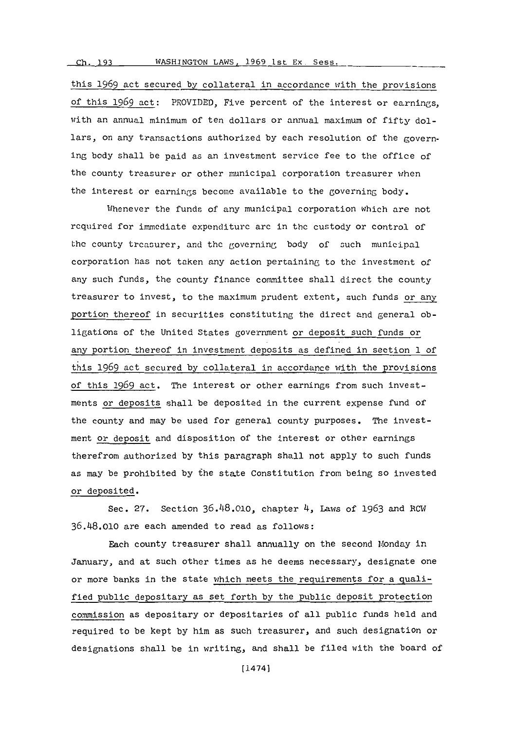# **Ch.** 193 **WASHINGTON LAWS, 1969 lst Ex. Sess.**

this **1969** act secured **by** collateral in accordance with the provisions of this **1969** act: PROVIDED, Five percent of the interest or earnings, with an annual minimum of ten dollars or annual maximum of fifty dollars, on any transactions authorized **by** each resolution of the governing body shall be paid as an investment service fee to the office of the county treasurer or other municipal corporation treasurer when the interest or earnings become available to the governing body.

Whenever the funds of any municipal corporation which are not required for immediate expenditure arc in the custody or control of the county treasurer, and the governing body of such municipal corporation has not taken any action pertaining to thc investment of any such funds, the county finance committee shall direct the county treasurer to invest, to the maximum prudent extent, such funds or any portion thereof in securities constituting the direct and general obligations of the United States government or deposit such funds or any portion thereof in investment deposits as defined in section **1** of this **1969** act secured **by** collateral in accordance with the provisions of this **1969** act. The interest or other earnings from such investments or deposits shall be deposited in the current expense fund of the county and may be used for general county purposes. The investment or deposit and disposition of the interest or other earnings therefrom authorized **by** this paragraph shall not apply to such funds as may be prohibited **by** the state Constitution from being so invested or deposited.

Sec. **27.** Section **36.118.010,** chapter 4, Laws of **1963** and ROW **36.48.010** are each amended to read as follows:

Each county treasurer shall annually on the second Monday in January, and at such other times as he deems necessary, designate one or more banks in the state which meets the requirements for a qualified public depositary as set forth **by** the public deposit protection commission as depositary or depositaries of all public funds held and required to be kept **by** him as such treasurer, and such designation or designations shall be in writing, and shall be filed with the board of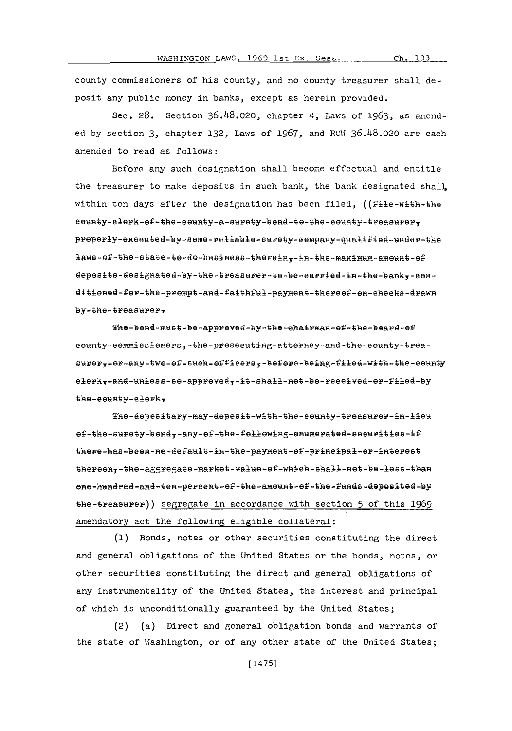county commissioners of his county, and no county treasurer shall deposit any public money in banks, except as herein provided.

Sec. 28. Section 36.48.020, chapter 4, Laws of 1963, as amended by section 3, chapter 132, Laws of 1967, and RCW 36.48.020 are each amended to read as follows:

Before any such designation shall become effectual and entitle the treasurer to make deposits in such bank, the bank designated shall, within ten days after the designation has been filed, ((file-with-the eeunty-elerk-ef-the-eeunty-a-surety-bend-te-the-eeunty-treasurer, preperly-exeented-by-seme-reliable-surety-eempany-qualified-under-the laws-of-the-state-to-do-business-therein,-in-the-maximum-amount-of deposits-designated-by-the-treasurer-te-be-earried-in-the-bank,-eenditioned-for-the-prempt-and-faithful-payment-thereof-on-ehecks-drawn by-the-treasurer,

 $The -bend-must - be-approved - by - the -ehatrman - of - the -beard - of$ eounty-eommissioners,-the-proseeuting-attorney-and-the-eounty-treasurer,-er-any-twe-ef-such-efficers,-befere-being-filed-with-the-ceunty elerk,-and-unless-se-appreved,-it-shall-net-be-reeeived-er-filed-by the-eeunty-elerk.

The-depesitary-may-depesit-with-the-county-treasurer-in-lieu ef-the-surety-bond,-any-ef-the-fellowing-enumerated-securities-if there-has-been-ne-default-in-the-payment-of-principal-or-interest thereon,-the-aggregate-market-walue-of-which-shall-not-be-less-than one-hundred-and-ten-pereent-of-the-amount-of-the-funds-deposited-by the-treasurer)) segregate in accordance with section 5 of this 1969 amendatory act the following eligible collateral:

(1) Bonds, notes or other securities constituting the direct and general obligations of the United States or the bonds, notes, or other securities constituting the direct and general obligations of any instrumentality of the United States, the interest and principal of which is unconditionally guaranteed by the United States;

(a) Direct and general obligation bonds and warrants of  $(2)$ the state of Washington, or of any other state of the United States;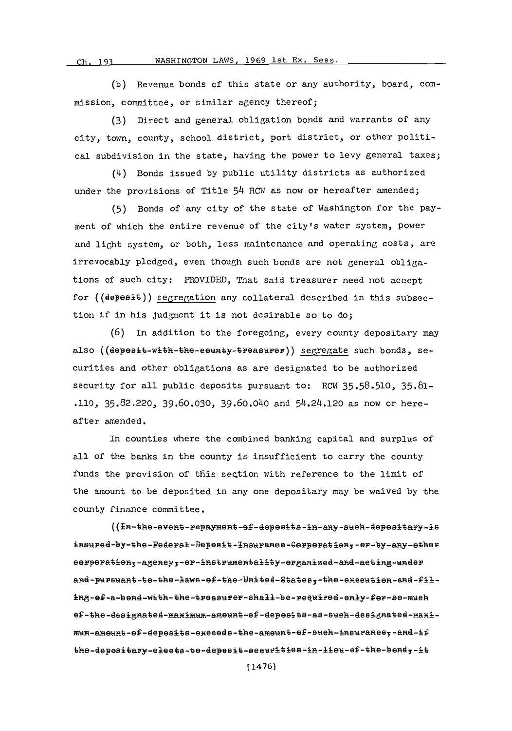#### WASHINGTON LAWS, 1969 1st Ex. Sess. **Ch- 193**

**(b)** Revenue bonds of this state or any authority, board, commission, committee, or similar agency thereof;

**(3)** Direct and general obligation bonds and warrants of any city, town, county, school district, port district, or other political subdivision in the state, having the power to levy general taxes;

(4) Bonds issued **by** public utility districts as authorized under the provisions of Title 54 RCW as now or hereafter amended;

**(5)** Bonds of any city of the state of Washington for the payment of which the entire revenue of the city's water system, power and light system, or both, less maintenance and operating costs, are irrevocably pledged, even though such bonds are not general obligations of such city: PROVIDED, That said treasurer need not accept for  $((\texttt{deposit}))$  segregation any collateral described in this subsection if in his judgment it is not desirable so to do;

**(6)** In addition to the foregoing, every county depositary may also ((depesit-with-the-eeunty-treasurer)) segregate such bonds, securities and other obligations as are designated to be authorized security for all public deposits pursuant to: RCW **35.58.510, 35.81- .110, 35.82.220,** 39.60.030, 39.60.040 and 54.24.120 as now or hereafter amended.

In counties where the combined banking capital and surplus of all of the banks in the county is insufficient to carry the county funds the provision of this section with reference to the limit of the amount to be deposited in any one depositary may be waived **by** the county finance committee.

 $($ (In-the-event-repayment-of-deposits-in-any-sueh-depositary-is insured-by-the-Federal-Depesit-Insuranee-Gerperation,-or-by-any-other eerperatien,-ageney,-er-instrumentality-erganized-and-aeting-under and-pursuant-te-the-laws-ef-the-United-States,-the-execution-and-filing-of-a-bond-with-the-treasurer-shall-be-required-enly-fer-se-much ef-the-designated-maximum-ameunt-ef-depesits-as-such-designated-maximum-amount-of-deposits-execeds-the-amount-of-such-insurance,-and-if the-depesitary-elects-te-depesit-securities-in-lieu-ef-the-bendy-it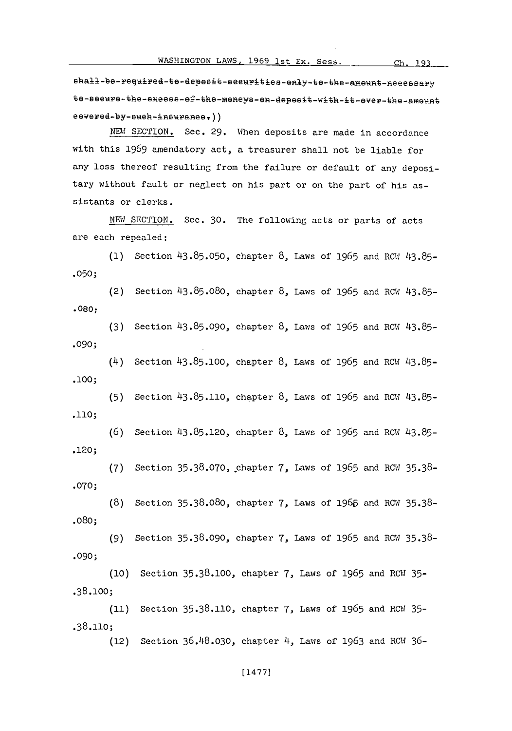shall-be-required-te-depesit-seeurities-enly-te-the-ameunt-neeessary te-seeure-the-exeess-ef-the-meneys-en-depesit-with-it-ever-the-amount  $e$ evered-by-sueh-insuranee.))

NEW SECTION. Sec. 29. When deposits are made in accordance with this **1969** amendatory act, a treasurer shall not be liable for any loss thereof resulting from the failure or default of any depositary without fault or neglect on his part or on the part of his assistants or clerks.

**NEW** SECTION. Sec. **30.** The following acts or parts of acts are each repealed:

(1) Section 43.85.050, chapter 8, Laws of 1965 and RCW 43.85. **.050;**

(2) Section 43.85.080, chapter **8,** Laws of **1965** and RCW **43.85- .080,**

**(3)** Section 43.85.090, chapter **8,** Laws of 1965 and RCW **43.85- .090;**

(4) Section **43.85.100,** chapter **8,** Laws of **1965** and RCW **43.85- .100;**

**(5)** Section **43.85.110,** chapter **8,** Laws of **1965** and RCW **43.85- .110;**

**(6)** Section **43.85.120,** chapter **8,** Laws of **1965** and RCW **43.85-** .120;

**(7)** Section **35.38.070,** .chapter **7,** Laws of **1965** and RCW **35.38- .070;**

**(8)** Section **35.38.080,** chapter **7,** Laws of **1966** and RCW **35.38-** .080;

**(9)** Section **35.38.090,** chapter **7,** Laws of **1965** and RCW **35.38- .090;**

**(10)** .38.100; Section **35.38.100,** chapter **7,** Laws of **1965** and RCW **35-**

**(11)** .38.110; Section **35.38.110,** chapter **7,** Laws of **1965** and ROW **35-**

(12) Section **36.48.030,** chapter 4, Lawis of **1963** and RMW **36-**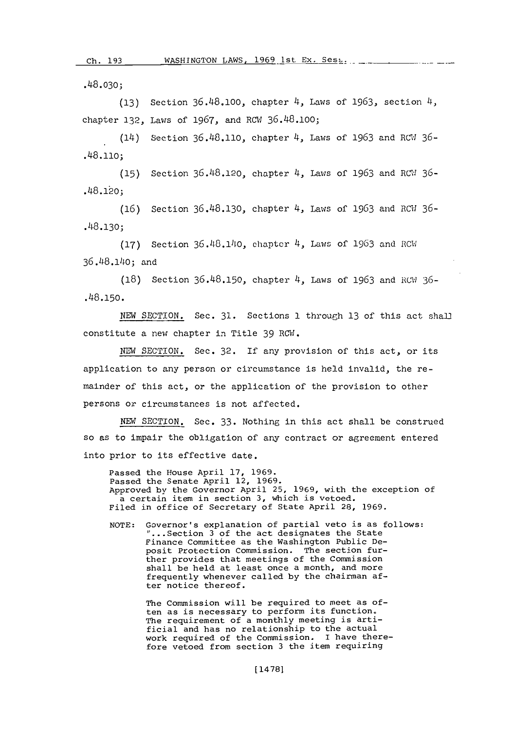.48.030;

**(13)** Section **36.48,100,** chapter 4, Laws of **1963,** section 4, chapter 132, Laws of 1967, and RCW 36.48.100;

(14) Section **36.418.110,** chapter 4, Laws of **1963** and W1 **36-** .48.110;

**(15)** Section **36.48.120,** chapter 4, Laws of **1963** and IRGW **36-** .48.120;

**(16)** Section **36.48.130,** chapter 4, Laws of **1963** and RC1W **36-** .48.130;

**(17)** Section 36.48.140, chapter 4, Laws of **1963** and RC11 36.48.140; and

**(18)** Section **36.48.150,** chapter 4, Laws of **1963** and **RU.W 36-** .48.150.

**NEW** SECTION. Sec. **31.** Sections **1** through **13** of this act shal2 constitute a new chapter in Title **39** ROW.

**NEW SECTION.** Sec. **32.** If any provision of this act, or its application to any person or circumstance is held invalid, the remainder of this act, or the application of the provision to other persons or circumstances is not affected.

NEW SECTION. Sec. 33. Nothing in this act shall be construed so as to impair the obligation of any contract or agreement entered into prior to its effective date.

Passed the House April **17, 1969.** Passed the Senate April 12, **1969.** Approved **by** the Governor April **25, 1969,** with the exception of a certain item in section **3,** which is vetoed. Filed in office of Secretary of State April 28, **1969.**

**NOTE:** Governor's explanation of partial veto is as follows: "...Section 3 of the act designates the State Finance Committee as the Washington Public Deposit Protection Commission. The section further provides that meetings of the Commission shall be held at least once a month, and more frequently whenever called **by** the chairman after notice thereof.

> The Commission will be required to meet as often as is necessary to perform its function. The requirement of a monthly meeting is artificial and has no relationship to the actual work required of the Commission. I have therefore vetoed from section **3** the item requiring